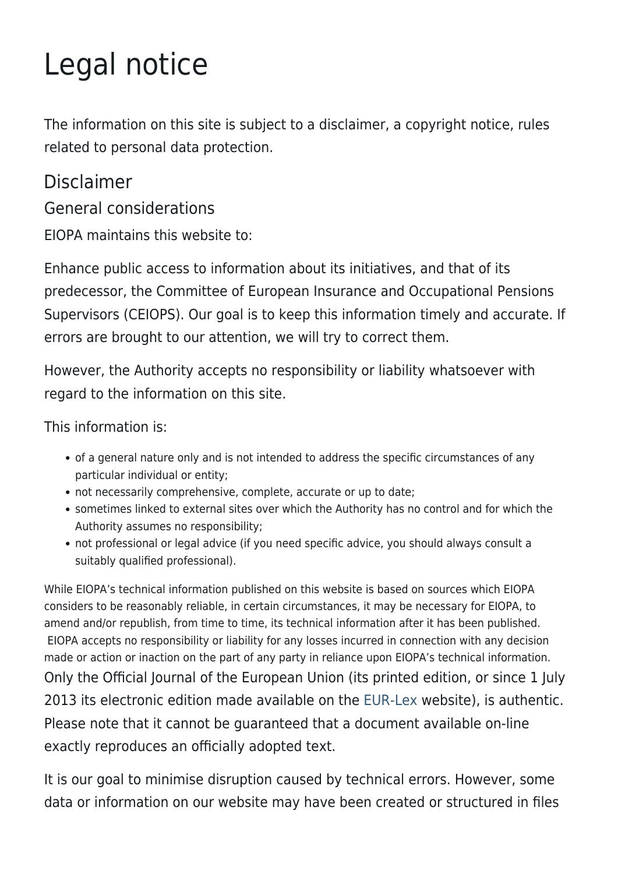# Legal notice

The information on this site is subject to a disclaimer, a copyright notice, rules related to personal data protection.

## Disclaimer

General considerations

EIOPA maintains this website to:

Enhance public access to information about its initiatives, and that of its predecessor, the Committee of European Insurance and Occupational Pensions Supervisors (CEIOPS). Our goal is to keep this information timely and accurate. If errors are brought to our attention, we will try to correct them.

However, the Authority accepts no responsibility or liability whatsoever with regard to the information on this site.

This information is:

- of a general nature only and is not intended to address the specific circumstances of any particular individual or entity;
- not necessarily comprehensive, complete, accurate or up to date;
- sometimes linked to external sites over which the Authority has no control and for which the Authority assumes no responsibility;
- not professional or legal advice (if you need specific advice, you should always consult a suitably qualified professional).

While EIOPA's technical information published on this website is based on sources which EIOPA considers to be reasonably reliable, in certain circumstances, it may be necessary for EIOPA, to amend and/or republish, from time to time, its technical information after it has been published. EIOPA accepts no responsibility or liability for any losses incurred in connection with any decision made or action or inaction on the part of any party in reliance upon EIOPA's technical information. Only the Official Journal of the European Union (its printed edition, or since 1 July 2013 its electronic edition made available on the [EUR-Lex](http://eur-lex.europa.eu/homepage.html?locale=en) website), is authentic. Please note that it cannot be guaranteed that a document available on-line exactly reproduces an officially adopted text.

It is our goal to minimise disruption caused by technical errors. However, some data or information on our website may have been created or structured in files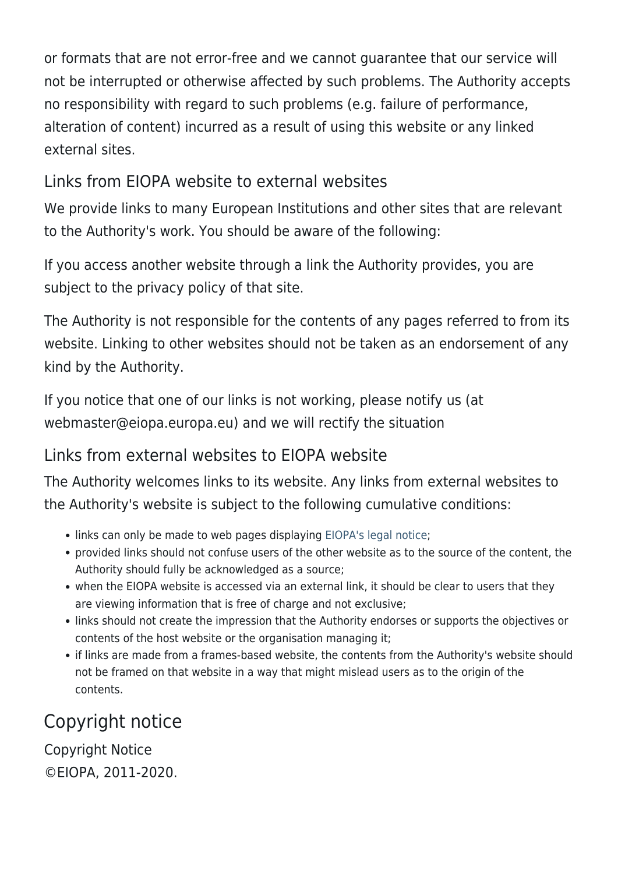or formats that are not error-free and we cannot guarantee that our service will not be interrupted or otherwise affected by such problems. The Authority accepts no responsibility with regard to such problems (e.g. failure of performance, alteration of content) incurred as a result of using this website or any linked external sites.

## Links from EIOPA website to external websites

We provide links to many European Institutions and other sites that are relevant to the Authority's work. You should be aware of the following:

If you access another website through a link the Authority provides, you are subject to the privacy policy of that site.

The Authority is not responsible for the contents of any pages referred to from its website. Linking to other websites should not be taken as an endorsement of any kind by the Authority.

If you notice that one of our links is not working, please notify us (at webmaster@eiopa.europa.eu) and we will rectify the situation

#### Links from external websites to EIOPA website

The Authority welcomes links to its website. Any links from external websites to the Authority's website is subject to the following cumulative conditions:

- links can only be made to web pages displaying [EIOPA's legal notice;](https://www.eiopa.europa.eu/legal-notice)
- provided links should not confuse users of the other website as to the source of the content, the Authority should fully be acknowledged as a source;
- when the EIOPA website is accessed via an external link, it should be clear to users that they are viewing information that is free of charge and not exclusive;
- links should not create the impression that the Authority endorses or supports the objectives or contents of the host website or the organisation managing it;
- if links are made from a frames-based website, the contents from the Authority's website should not be framed on that website in a way that might mislead users as to the origin of the contents.

# Copyright notice

Copyright Notice ©EIOPA, 2011-2020.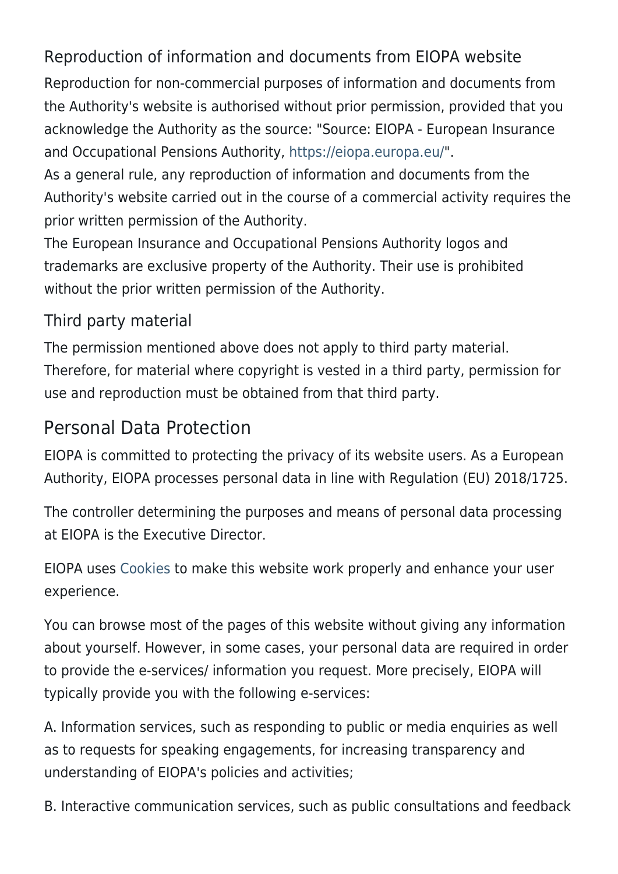# Reproduction of information and documents from EIOPA website

Reproduction for non-commercial purposes of information and documents from the Authority's website is authorised without prior permission, provided that you acknowledge the Authority as the source: "Source: EIOPA - European Insurance and Occupational Pensions Authority, <https://eiopa.europa.eu/>".

As a general rule, any reproduction of information and documents from the Authority's website carried out in the course of a commercial activity requires the prior written permission of the Authority.

The European Insurance and Occupational Pensions Authority logos and trademarks are exclusive property of the Authority. Their use is prohibited without the prior written permission of the Authority.

## Third party material

The permission mentioned above does not apply to third party material. Therefore, for material where copyright is vested in a third party, permission for use and reproduction must be obtained from that third party.

# Personal Data Protection

EIOPA is committed to protecting the privacy of its website users. As a European Authority, EIOPA processes personal data in line with Regulation (EU) 2018/1725.

The controller determining the purposes and means of personal data processing at EIOPA is the Executive Director.

EIOPA uses [Cookies](https://www.eiopa.europa.eu/cookies_en) to make this website work properly and enhance your user experience.

You can browse most of the pages of this website without giving any information about yourself. However, in some cases, your personal data are required in order to provide the e-services/ information you request. More precisely, EIOPA will typically provide you with the following e-services:

A. Information services, such as responding to public or media enquiries as well as to requests for speaking engagements, for increasing transparency and understanding of EIOPA's policies and activities;

B. Interactive communication services, such as public consultations and feedback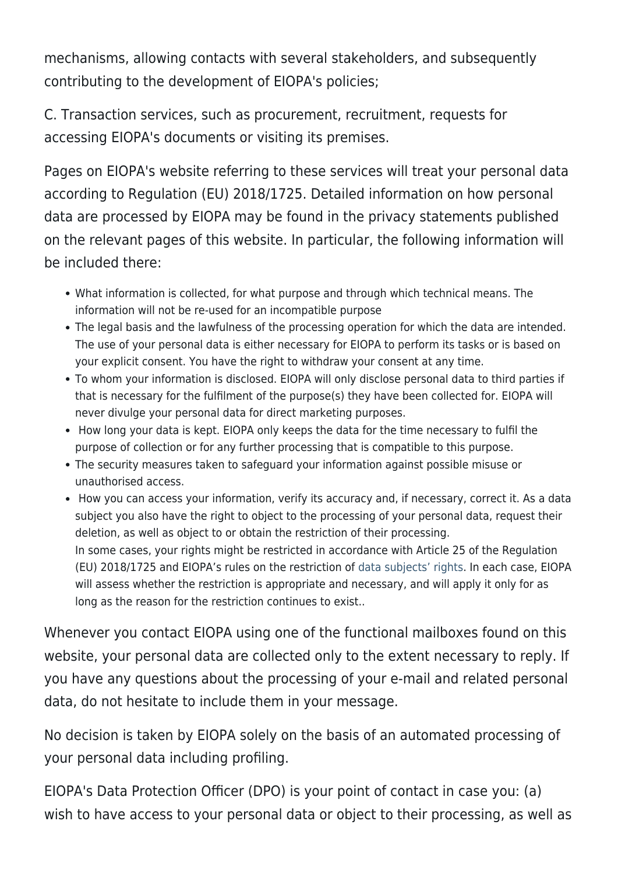mechanisms, allowing contacts with several stakeholders, and subsequently contributing to the development of EIOPA's policies;

C. Transaction services, such as procurement, recruitment, requests for accessing EIOPA's documents or visiting its premises.

Pages on EIOPA's website referring to these services will treat your personal data according to Regulation (EU) 2018/1725. Detailed information on how personal data are processed by EIOPA may be found in the privacy statements published on the relevant pages of this website. In particular, the following information will be included there:

- What information is collected, for what purpose and through which technical means. The information will not be re-used for an incompatible purpose
- The legal basis and the lawfulness of the processing operation for which the data are intended. The use of your personal data is either necessary for EIOPA to perform its tasks or is based on your explicit consent. You have the right to withdraw your consent at any time.
- To whom your information is disclosed. EIOPA will only disclose personal data to third parties if that is necessary for the fulfilment of the purpose(s) they have been collected for. EIOPA will never divulge your personal data for direct marketing purposes.
- How long your data is kept. EIOPA only keeps the data for the time necessary to fulfil the purpose of collection or for any further processing that is compatible to this purpose.
- The security measures taken to safeguard your information against possible misuse or unauthorised access.
- How you can access your information, verify its accuracy and, if necessary, correct it. As a data subject you also have the right to object to the processing of your personal data, request their deletion, as well as object to or obtain the restriction of their processing. In some cases, your rights might be restricted in accordance with Article 25 of the Regulation (EU) 2018/1725 and EIOPA's rules on the restriction of [data subjects' rights](https://eur-lex.europa.eu/legal-content/EN/TXT/?uri=uriserv:OJ.L_.2019.221.01.0001.01.ENG&toc=OJ:L:2019:221:TOC). In each case, EIOPA will assess whether the restriction is appropriate and necessary, and will apply it only for as long as the reason for the restriction continues to exist..

Whenever you contact EIOPA using one of the functional mailboxes found on this website, your personal data are collected only to the extent necessary to reply. If you have any questions about the processing of your e-mail and related personal data, do not hesitate to include them in your message.

No decision is taken by EIOPA solely on the basis of an automated processing of your personal data including profiling.

EIOPA's Data Protection Officer (DPO) is your point of contact in case you: (a) wish to have access to your personal data or object to their processing, as well as